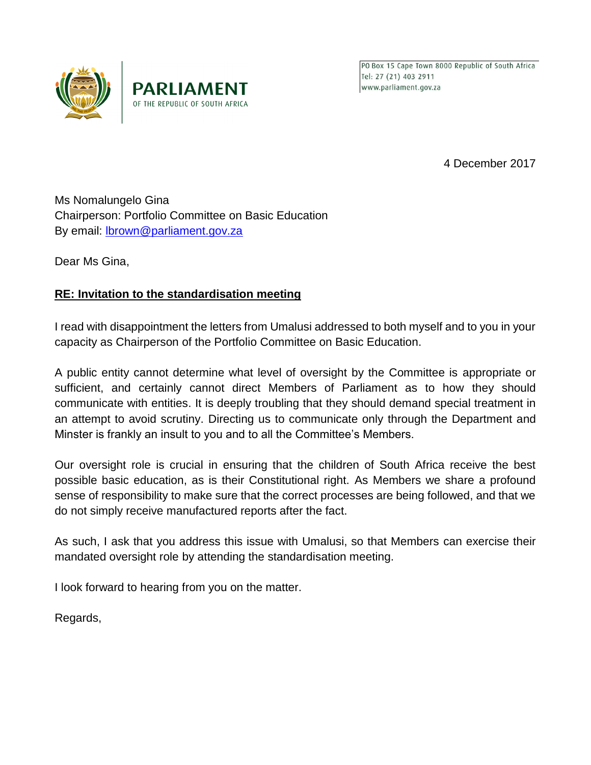

PO Box 15 Cape Town 8000 Republic of South Africa Tel: 27 (21) 403 2911 www.parliament.gov.za

4 December 2017

Ms Nomalungelo Gina Chairperson: Portfolio Committee on Basic Education By email: **lbrown@parliament.gov.za** 

OF THE REPUBLIC OF SOUTH AFRICA

Dear Ms Gina,

## **RE: Invitation to the standardisation meeting**

I read with disappointment the letters from Umalusi addressed to both myself and to you in your capacity as Chairperson of the Portfolio Committee on Basic Education.

A public entity cannot determine what level of oversight by the Committee is appropriate or sufficient, and certainly cannot direct Members of Parliament as to how they should communicate with entities. It is deeply troubling that they should demand special treatment in an attempt to avoid scrutiny. Directing us to communicate only through the Department and Minster is frankly an insult to you and to all the Committee's Members.

Our oversight role is crucial in ensuring that the children of South Africa receive the best possible basic education, as is their Constitutional right. As Members we share a profound sense of responsibility to make sure that the correct processes are being followed, and that we do not simply receive manufactured reports after the fact.

As such, I ask that you address this issue with Umalusi, so that Members can exercise their mandated oversight role by attending the standardisation meeting.

I look forward to hearing from you on the matter.

Regards,